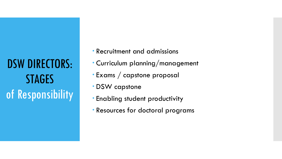DSW DIRECTORS: STAGES of Responsibility

- Recruitment and admissions
- Curriculum planning/management
- Exams / capstone proposal
- DSW capstone
- Enabling student productivity
- Resources for doctoral programs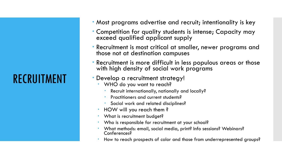# RECRUITMENT

- Most programs advertise and recruit; intentionality is key
- Competition for quality students is intense; Capacity may exceed qualified applicant supply
- Recruitment is most critical at smaller, newer programs and those not at destination campuses
- Recruitment is more difficult in less populous areas or those with high density of social work programs

#### Develop a recruitment strategy!

- WHO do you want to reach?
	- Recruit internationally, nationally and locally?
	- Practitioners and current students?
	- Social work and related disciplines?
- HOW will you reach them ?
- What is recruitment budget?
- Who is responsible for recruitment at your school?
- What methods: email, social media, print? Info sessions? Webinars? Conferences?
- How to reach prospects of color and those from underrepresented groups?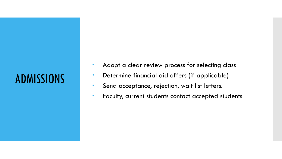# ADMISSIONS

- Adopt a clear review process for selecting class
- Determine financial aid offers (if applicable)
- Send acceptance, rejection, wait list letters.
- Faculty, current students contact accepted students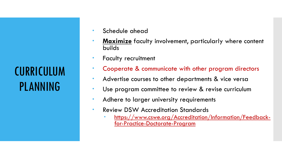**CURRICULUM** PLANNING

- **Schedule ahead**
- **Maximize** faculty involvement, particularly where content builds
- **Faculty recruitment**
- Cooperate & communicate with other program directors
- Advertise courses to other departments & vice versa
- Use program committee to review & revise curriculum
- Adhere to larger university requirements
- **Review DSW Accreditation Standards** 
	- [https://www.cswe.org/Accreditation/Information/Feedback-](https://www.cswe.org/Accreditation/Information/Feedback-for-Practice-Doctorate-Program) for-Practice-Doctorate-Program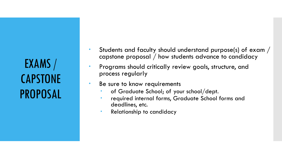EXAMS / CAPSTONE PROPOSAL

- Students and faculty should understand purpose(s) of exam / capstone proposal / how students advance to candidacy
- Programs should critically review goals, structure, and process regularly
- Be sure to know requirements
	- of Graduate School; of your school/dept.
	- required internal forms, Graduate School forms and deadlines, etc.
	- **•** Relationship to candidacy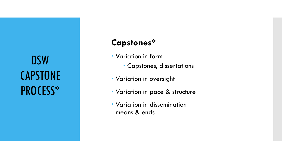DSW **CAPSTONE** PROCESS\*

#### **Capstones\***

- Variation in form
	- Capstones, dissertations
- Variation in oversight
- Variation in pace & structure
- Variation in dissemination means & ends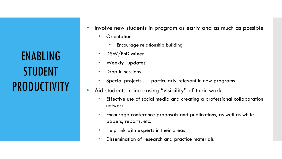ENABLING STUDENT **PRODUCTIVITY** 

- Involve new students in program as early and as much as possible
	- Orientation
		- Encourage relationship building
	- DSW/PhD Mixer
	- Weekly "updates"
	- Drop in sessions
	- Special projects . . . particularly relevant in new programs
- Aid students in increasing "visibility" of their work
	- Effective use of social media and creating a professional collaboration network
	- Encourage conference proposals and publications, as well as white papers, reports, etc.
	- Help link with experts in their areas
	- Dissemination of research and practice materials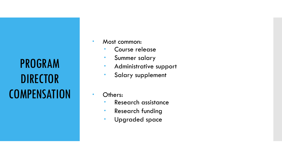PROGRAM DIRECTOR **COMPENSATION** 

- Most common:
	- Course release
	- **Summer salary**
	- Administrative support
	- **Salary supplement**
- Others:
	- **Research assistance**
	- Research funding
	- Upgraded space